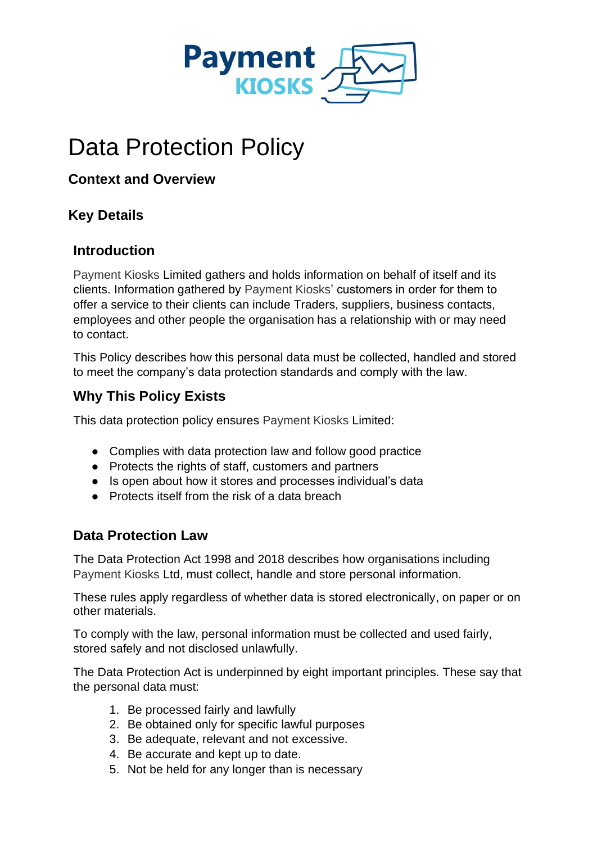

# Data Protection Policy

#### **Context and Overview**

#### **Key Details**

#### **Introduction**

Payment Kiosks Limited gathers and holds information on behalf of itself and its clients. Information gathered by Payment Kiosks' customers in order for them to offer a service to their clients can include Traders, suppliers, business contacts, employees and other people the organisation has a relationship with or may need to contact.

This Policy describes how this personal data must be collected, handled and stored to meet the company's data protection standards and comply with the law.

#### **Why This Policy Exists**

This data protection policy ensures Payment Kiosks Limited:

- Complies with data protection law and follow good practice
- Protects the rights of staff, customers and partners
- Is open about how it stores and processes individual's data
- Protects itself from the risk of a data breach

#### **Data Protection Law**

The Data Protection Act 1998 and 2018 describes how organisations including Payment Kiosks Ltd, must collect, handle and store personal information.

These rules apply regardless of whether data is stored electronically, on paper or on other materials.

To comply with the law, personal information must be collected and used fairly, stored safely and not disclosed unlawfully.

The Data Protection Act is underpinned by eight important principles. These say that the personal data must:

- 1. Be processed fairly and lawfully
- 2. Be obtained only for specific lawful purposes
- 3. Be adequate, relevant and not excessive.
- 4. Be accurate and kept up to date.
- 5. Not be held for any longer than is necessary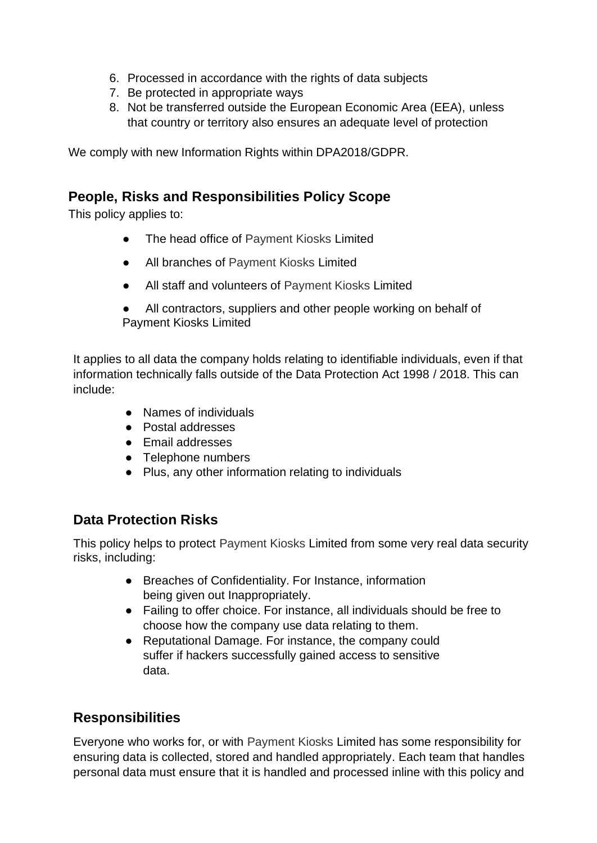- 6. Processed in accordance with the rights of data subjects
- 7. Be protected in appropriate ways
- 8. Not be transferred outside the European Economic Area (EEA), unless that country or territory also ensures an adequate level of protection

We comply with new Information Rights within DPA2018/GDPR.

#### **People, Risks and Responsibilities Policy Scope**

This policy applies to:

- The head office of Payment Kiosks Limited
- All branches of Payment Kiosks Limited
- All staff and volunteers of Payment Kiosks Limited
- All contractors, suppliers and other people working on behalf of Payment Kiosks Limited

It applies to all data the company holds relating to identifiable individuals, even if that information technically falls outside of the Data Protection Act 1998 / 2018. This can include:

- Names of individuals
- Postal addresses
- Email addresses
- Telephone numbers
- Plus, any other information relating to individuals

#### **Data Protection Risks**

This policy helps to protect Payment Kiosks Limited from some very real data security risks, including:

- Breaches of Confidentiality. For Instance, information being given out Inappropriately.
- Failing to offer choice. For instance, all individuals should be free to choose how the company use data relating to them.
- Reputational Damage. For instance, the company could suffer if hackers successfully gained access to sensitive data.

#### **Responsibilities**

Everyone who works for, or with Payment Kiosks Limited has some responsibility for ensuring data is collected, stored and handled appropriately. Each team that handles personal data must ensure that it is handled and processed inline with this policy and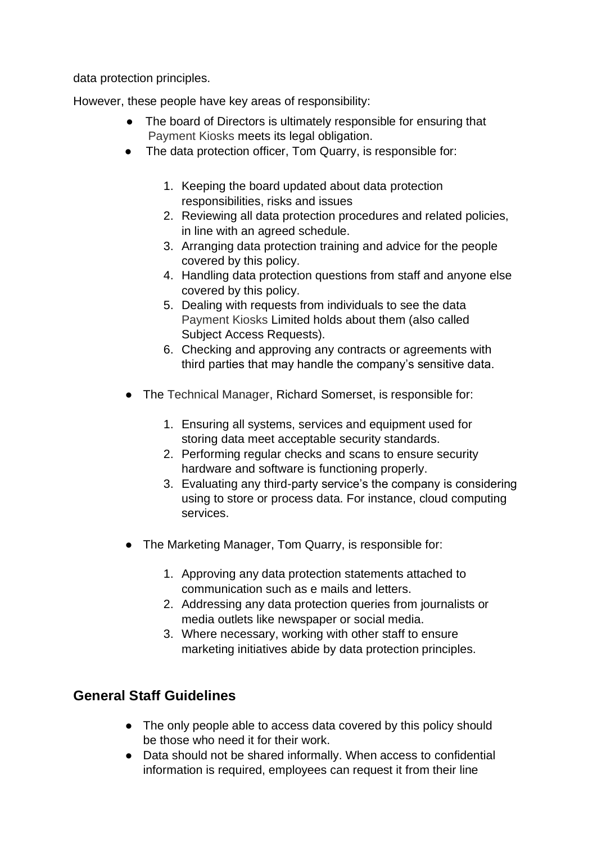data protection principles.

However, these people have key areas of responsibility:

- The board of Directors is ultimately responsible for ensuring that Payment Kiosks meets its legal obligation.
- The data protection officer, Tom Quarry, is responsible for:
	- 1. Keeping the board updated about data protection responsibilities, risks and issues
	- 2. Reviewing all data protection procedures and related policies, in line with an agreed schedule.
	- 3. Arranging data protection training and advice for the people covered by this policy.
	- 4. Handling data protection questions from staff and anyone else covered by this policy.
	- 5. Dealing with requests from individuals to see the data Payment Kiosks Limited holds about them (also called Subject Access Requests).
	- 6. Checking and approving any contracts or agreements with third parties that may handle the company's sensitive data.
- The Technical Manager, Richard Somerset, is responsible for:
	- 1. Ensuring all systems, services and equipment used for storing data meet acceptable security standards.
	- 2. Performing regular checks and scans to ensure security hardware and software is functioning properly.
	- 3. Evaluating any third-party service's the company is considering using to store or process data. For instance, cloud computing services.
- The Marketing Manager, Tom Quarry, is responsible for:
	- 1. Approving any data protection statements attached to communication such as e mails and letters.
	- 2. Addressing any data protection queries from journalists or media outlets like newspaper or social media.
	- 3. Where necessary, working with other staff to ensure marketing initiatives abide by data protection principles.

#### **General Staff Guidelines**

- The only people able to access data covered by this policy should be those who need it for their work.
- Data should not be shared informally. When access to confidential information is required, employees can request it from their line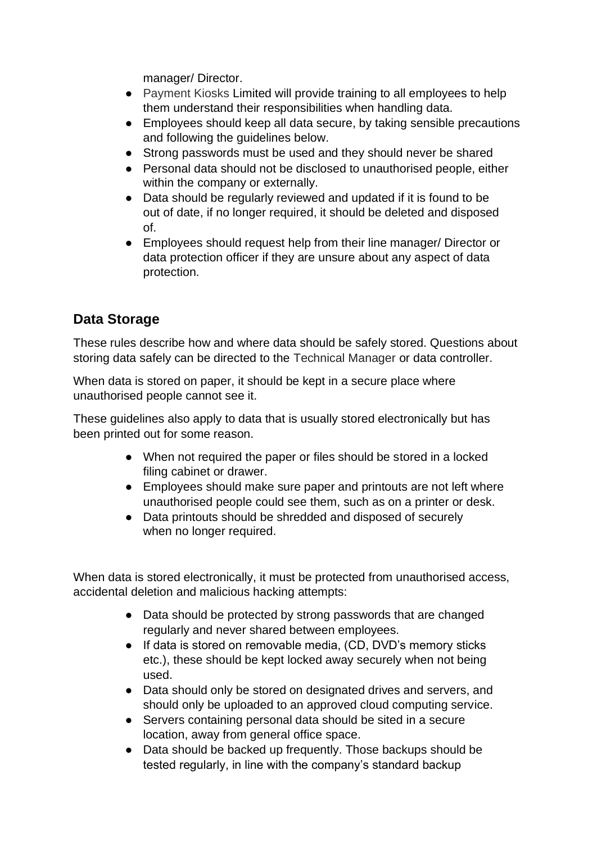manager/ Director.

- Payment Kiosks Limited will provide training to all employees to help them understand their responsibilities when handling data.
- Employees should keep all data secure, by taking sensible precautions and following the guidelines below.
- Strong passwords must be used and they should never be shared
- Personal data should not be disclosed to unauthorised people, either within the company or externally.
- Data should be regularly reviewed and updated if it is found to be out of date, if no longer required, it should be deleted and disposed of.
- Employees should request help from their line manager/ Director or data protection officer if they are unsure about any aspect of data protection.

# **Data Storage**

These rules describe how and where data should be safely stored. Questions about storing data safely can be directed to the Technical Manager or data controller.

When data is stored on paper, it should be kept in a secure place where unauthorised people cannot see it.

These guidelines also apply to data that is usually stored electronically but has been printed out for some reason.

- When not required the paper or files should be stored in a locked filing cabinet or drawer.
- Employees should make sure paper and printouts are not left where unauthorised people could see them, such as on a printer or desk.
- Data printouts should be shredded and disposed of securely when no longer required.

When data is stored electronically, it must be protected from unauthorised access, accidental deletion and malicious hacking attempts:

- Data should be protected by strong passwords that are changed regularly and never shared between employees.
- If data is stored on removable media, (CD, DVD's memory sticks etc.), these should be kept locked away securely when not being used.
- Data should only be stored on designated drives and servers, and should only be uploaded to an approved cloud computing service.
- Servers containing personal data should be sited in a secure location, away from general office space.
- Data should be backed up frequently. Those backups should be tested regularly, in line with the company's standard backup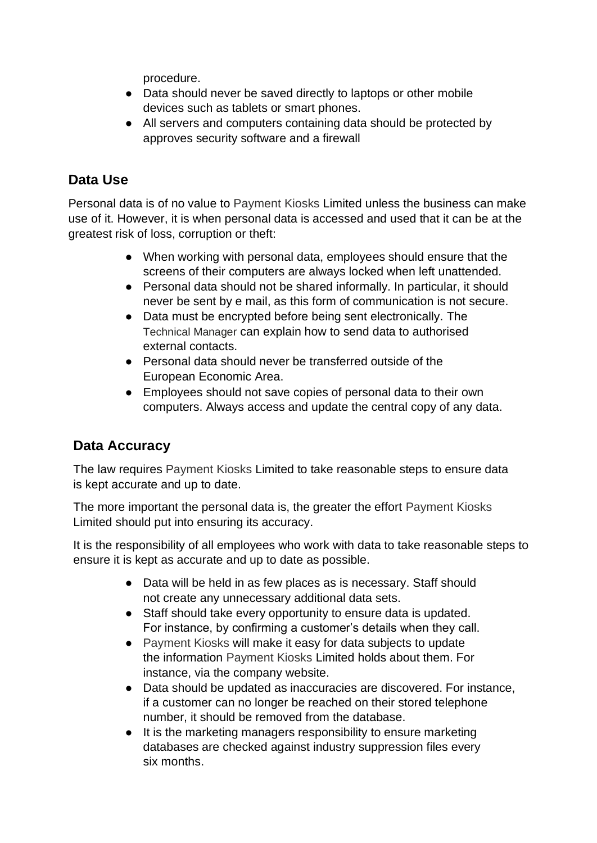procedure.

- Data should never be saved directly to laptops or other mobile devices such as tablets or smart phones.
- All servers and computers containing data should be protected by approves security software and a firewall

## **Data Use**

Personal data is of no value to Payment Kiosks Limited unless the business can make use of it. However, it is when personal data is accessed and used that it can be at the greatest risk of loss, corruption or theft:

- When working with personal data, employees should ensure that the screens of their computers are always locked when left unattended.
- Personal data should not be shared informally. In particular, it should never be sent by e mail, as this form of communication is not secure.
- Data must be encrypted before being sent electronically. The Technical Manager can explain how to send data to authorised external contacts.
- Personal data should never be transferred outside of the European Economic Area.
- Employees should not save copies of personal data to their own computers. Always access and update the central copy of any data.

## **Data Accuracy**

The law requires Payment Kiosks Limited to take reasonable steps to ensure data is kept accurate and up to date.

The more important the personal data is, the greater the effort Payment Kiosks Limited should put into ensuring its accuracy.

It is the responsibility of all employees who work with data to take reasonable steps to ensure it is kept as accurate and up to date as possible.

- Data will be held in as few places as is necessary. Staff should not create any unnecessary additional data sets.
- Staff should take every opportunity to ensure data is updated. For instance, by confirming a customer's details when they call.
- Payment Kiosks will make it easy for data subjects to update the information Payment Kiosks Limited holds about them. For instance, via the company website.
- Data should be updated as inaccuracies are discovered. For instance, if a customer can no longer be reached on their stored telephone number, it should be removed from the database.
- It is the marketing managers responsibility to ensure marketing databases are checked against industry suppression files every six months.